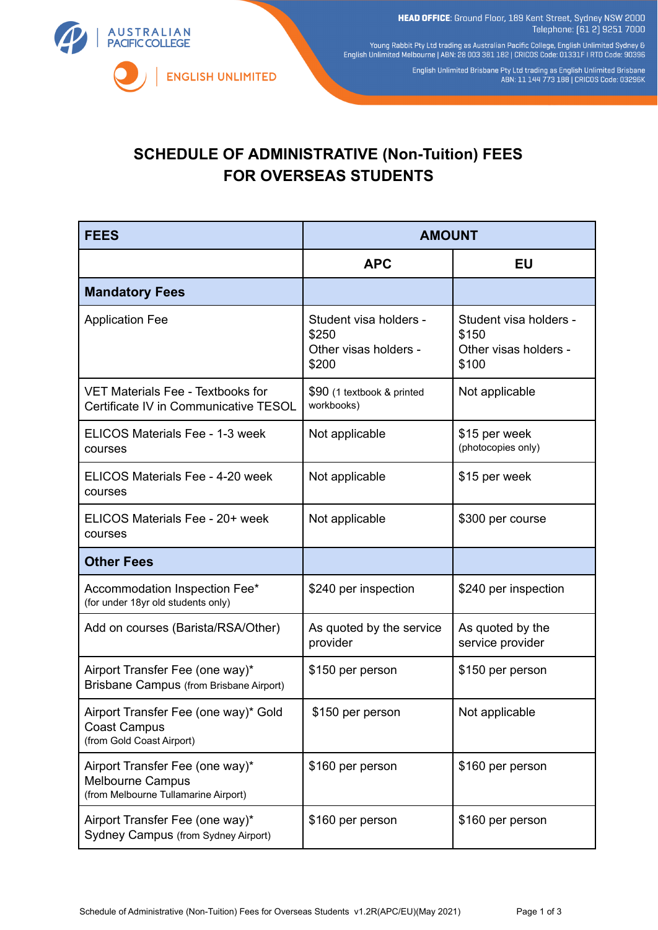HEAD OFFICE: Ground Floor, 189 Kent Street, Sydney NSW 2000 Telephone: [61 2] 9251 7000

**AUSTRALIAN PACIFIC COLLEGE ENGLISH UNLIMITED** 

Young Rabbit Pty Ltd trading as Australian Pacific College, English Unlimited Sydney &<br>English Unlimited Melbourne | ABN: 28 003 381 182 | CRICOS Code: 01331F | RTO Code: 90396

English Unlimited Brisbane Pty Ltd trading as English Unlimited Brisbane<br>ABN: 11 144 773 188 | CRICOS Code: 03296K

## **SCHEDULE OF ADMINISTRATIVE (Non-Tuition) FEES FOR OVERSEAS STUDENTS**

| <b>FEES</b>                                                                                        | <b>AMOUNT</b>                                                     |                                                                   |
|----------------------------------------------------------------------------------------------------|-------------------------------------------------------------------|-------------------------------------------------------------------|
|                                                                                                    | <b>APC</b>                                                        | <b>EU</b>                                                         |
| <b>Mandatory Fees</b>                                                                              |                                                                   |                                                                   |
| <b>Application Fee</b>                                                                             | Student visa holders -<br>\$250<br>Other visas holders -<br>\$200 | Student visa holders -<br>\$150<br>Other visas holders -<br>\$100 |
| <b>VET Materials Fee - Textbooks for</b><br>Certificate IV in Communicative TESOL                  | \$90 (1 textbook & printed<br>workbooks)                          | Not applicable                                                    |
| ELICOS Materials Fee - 1-3 week<br>courses                                                         | Not applicable                                                    | \$15 per week<br>(photocopies only)                               |
| ELICOS Materials Fee - 4-20 week<br>courses                                                        | Not applicable                                                    | \$15 per week                                                     |
| ELICOS Materials Fee - 20+ week<br>courses                                                         | Not applicable                                                    | \$300 per course                                                  |
| <b>Other Fees</b>                                                                                  |                                                                   |                                                                   |
| Accommodation Inspection Fee*<br>(for under 18yr old students only)                                | \$240 per inspection                                              | \$240 per inspection                                              |
| Add on courses (Barista/RSA/Other)                                                                 | As quoted by the service<br>provider                              | As quoted by the<br>service provider                              |
| Airport Transfer Fee (one way)*<br>Brisbane Campus (from Brisbane Airport)                         | \$150 per person                                                  | \$150 per person                                                  |
| Airport Transfer Fee (one way)* Gold<br>Coast Campus<br>(from Gold Coast Airport)                  | \$150 per person                                                  | Not applicable                                                    |
| Airport Transfer Fee (one way)*<br><b>Melbourne Campus</b><br>(from Melbourne Tullamarine Airport) | \$160 per person                                                  | \$160 per person                                                  |
| Airport Transfer Fee (one way)*<br>Sydney Campus (from Sydney Airport)                             | \$160 per person                                                  | \$160 per person                                                  |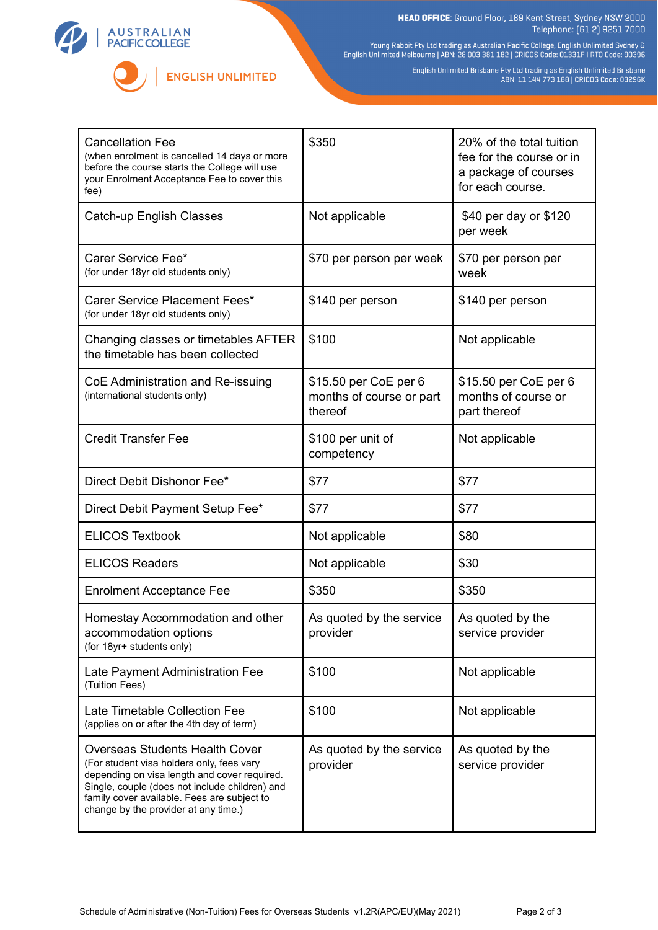



**HEAD OFFICE**: Ground Floor, 189 Kent Street, Sydney NSW 2000<br>Telephone: (61 2) 9251 7000

Young Rabbit Pty Ltd trading as Australian Pacific College, English Unlimited Sydney &<br>English Unlimited Melbourne | ABN: 28 003 381 182 | CRICOS Code: 01331F | RTO Code: 90396

English Unlimited Brisbane Pty Ltd trading as English Unlimited Brisbane<br>ABN: 11 144 773 188 | CRICOS Code: 03296K

| <b>Cancellation Fee</b><br>(when enrolment is cancelled 14 days or more<br>before the course starts the College will use<br>your Enrolment Acceptance Fee to cover this<br>fee)                                                                                             | \$350                                                        | 20% of the total tuition<br>fee for the course or in<br>a package of courses<br>for each course. |
|-----------------------------------------------------------------------------------------------------------------------------------------------------------------------------------------------------------------------------------------------------------------------------|--------------------------------------------------------------|--------------------------------------------------------------------------------------------------|
| Catch-up English Classes                                                                                                                                                                                                                                                    | Not applicable                                               | \$40 per day or \$120<br>per week                                                                |
| Carer Service Fee*<br>(for under 18yr old students only)                                                                                                                                                                                                                    | \$70 per person per week                                     | \$70 per person per<br>week                                                                      |
| Carer Service Placement Fees*<br>(for under 18yr old students only)                                                                                                                                                                                                         | \$140 per person                                             | \$140 per person                                                                                 |
| Changing classes or timetables AFTER<br>the timetable has been collected                                                                                                                                                                                                    | \$100                                                        | Not applicable                                                                                   |
| CoE Administration and Re-issuing<br>(international students only)                                                                                                                                                                                                          | \$15.50 per CoE per 6<br>months of course or part<br>thereof | \$15.50 per CoE per 6<br>months of course or<br>part thereof                                     |
| <b>Credit Transfer Fee</b>                                                                                                                                                                                                                                                  | \$100 per unit of<br>competency                              | Not applicable                                                                                   |
| Direct Debit Dishonor Fee*                                                                                                                                                                                                                                                  | \$77                                                         | \$77                                                                                             |
| Direct Debit Payment Setup Fee*                                                                                                                                                                                                                                             | \$77                                                         | \$77                                                                                             |
| <b>ELICOS Textbook</b>                                                                                                                                                                                                                                                      | Not applicable                                               | \$80                                                                                             |
| <b>ELICOS Readers</b>                                                                                                                                                                                                                                                       | Not applicable                                               | \$30                                                                                             |
| <b>Enrolment Acceptance Fee</b>                                                                                                                                                                                                                                             | \$350                                                        | \$350                                                                                            |
| Homestay Accommodation and other<br>accommodation options<br>(for 18yr+ students only)                                                                                                                                                                                      | As quoted by the service<br>provider                         | As quoted by the<br>service provider                                                             |
| Late Payment Administration Fee<br>(Tuition Fees)                                                                                                                                                                                                                           | \$100                                                        | Not applicable                                                                                   |
| Late Timetable Collection Fee<br>(applies on or after the 4th day of term)                                                                                                                                                                                                  | \$100                                                        | Not applicable                                                                                   |
| <b>Overseas Students Health Cover</b><br>(For student visa holders only, fees vary<br>depending on visa length and cover required.<br>Single, couple (does not include children) and<br>family cover available. Fees are subject to<br>change by the provider at any time.) | As quoted by the service<br>provider                         | As quoted by the<br>service provider                                                             |